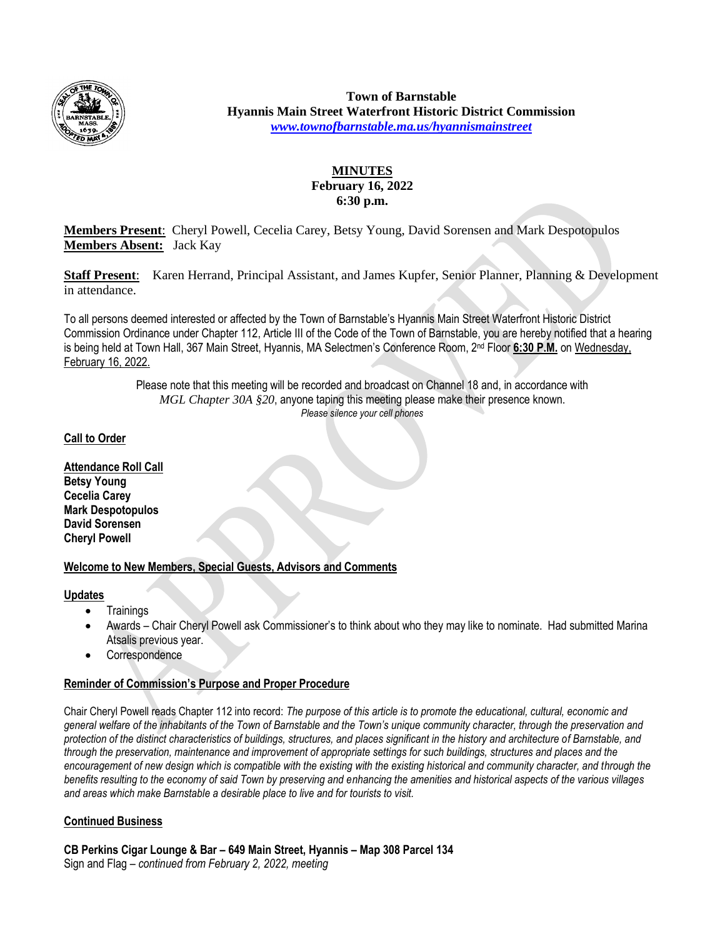

**Town of Barnstable Hyannis Main Street Waterfront Historic District Commission** *[www.townofbarnstable.ma.us/hyannismainstreet](http://www.townofbarnstable.ma.us/hyannismainstreet)*

# **MINUTES February 16, 2022 6:30 p.m.**

**Members Present**: Cheryl Powell, Cecelia Carey, Betsy Young, David Sorensen and Mark Despotopulos **Members Absent:** Jack Kay

**Staff Present**: Karen Herrand, Principal Assistant, and James Kupfer, Senior Planner, Planning & Development in attendance.

To all persons deemed interested or affected by the Town of Barnstable's Hyannis Main Street Waterfront Historic District Commission Ordinance under Chapter 112, Article III of the Code of the Town of Barnstable, you are hereby notified that a hearing is being held at Town Hall, 367 Main Street, Hyannis, MA Selectmen's Conference Room, 2nd Floor **6:30 P.M.** on Wednesday, February 16, 2022.

> Please note that this meeting will be recorded and broadcast on Channel 18 and, in accordance with *MGL Chapter 30A §20*, anyone taping this meeting please make their presence known. *Please silence your cell phones*

# **Call to Order**

**Attendance Roll Call Betsy Young Cecelia Carey Mark Despotopulos David Sorensen Cheryl Powell**

# **Welcome to New Members, Special Guests, Advisors and Comments**

### **Updates**

- Trainings
- Awards Chair Cheryl Powell ask Commissioner's to think about who they may like to nominate. Had submitted Marina Atsalis previous year.
- Correspondence

# **Reminder of Commission's Purpose and Proper Procedure**

Chair Cheryl Powell reads Chapter 112 into record: *The purpose of this article is to promote the educational, cultural, economic and general welfare of the inhabitants of the Town of Barnstable and the Town's unique community character, through the preservation and protection of the distinct characteristics of buildings, structures, and places significant in the history and architecture of Barnstable, and through the preservation, maintenance and improvement of appropriate settings for such buildings, structures and places and the encouragement of new design which is compatible with the existing with the existing historical and community character, and through the benefits resulting to the economy of said Town by preserving and enhancing the amenities and historical aspects of the various villages and areas which make Barnstable a desirable place to live and for tourists to visit.* 

# **Continued Business**

**CB Perkins Cigar Lounge & Bar – 649 Main Street, Hyannis – Map 308 Parcel 134** Sign and Flag – *continued from February 2, 2022, meeting*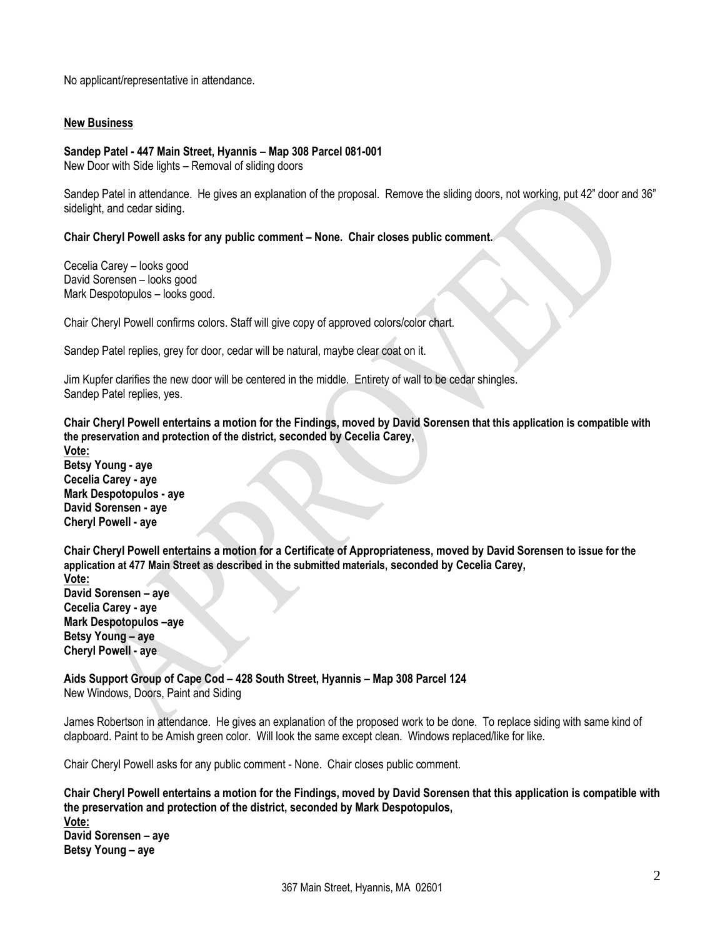No applicant/representative in attendance.

### **New Business**

#### **Sandep Patel - 447 Main Street, Hyannis – Map 308 Parcel 081-001**

New Door with Side lights – Removal of sliding doors

Sandep Patel in attendance. He gives an explanation of the proposal. Remove the sliding doors, not working, put 42" door and 36" sidelight, and cedar siding.

#### **Chair Cheryl Powell asks for any public comment – None. Chair closes public comment.**

Cecelia Carey – looks good David Sorensen – looks good Mark Despotopulos – looks good.

Chair Cheryl Powell confirms colors. Staff will give copy of approved colors/color chart.

Sandep Patel replies, grey for door, cedar will be natural, maybe clear coat on it.

Jim Kupfer clarifies the new door will be centered in the middle. Entirety of wall to be cedar shingles. Sandep Patel replies, yes.

**Chair Cheryl Powell entertains a motion for the Findings, moved by David Sorensen that this application is compatible with the preservation and protection of the district, seconded by Cecelia Carey,**

**Vote: Betsy Young - aye Cecelia Carey - aye Mark Despotopulos - aye David Sorensen - aye Cheryl Powell - aye**

**Chair Cheryl Powell entertains a motion for a Certificate of Appropriateness, moved by David Sorensen to issue for the application at 477 Main Street as described in the submitted materials, seconded by Cecelia Carey,**

**Vote: David Sorensen – aye Cecelia Carey - aye Mark Despotopulos –aye Betsy Young – aye Cheryl Powell - aye**

**Aids Support Group of Cape Cod – 428 South Street, Hyannis – Map 308 Parcel 124** New Windows, Doors, Paint and Siding

James Robertson in attendance. He gives an explanation of the proposed work to be done. To replace siding with same kind of clapboard. Paint to be Amish green color. Will look the same except clean. Windows replaced/like for like.

Chair Cheryl Powell asks for any public comment - None. Chair closes public comment.

**Chair Cheryl Powell entertains a motion for the Findings, moved by David Sorensen that this application is compatible with the preservation and protection of the district, seconded by Mark Despotopulos,**

**Vote: David Sorensen – aye Betsy Young – aye**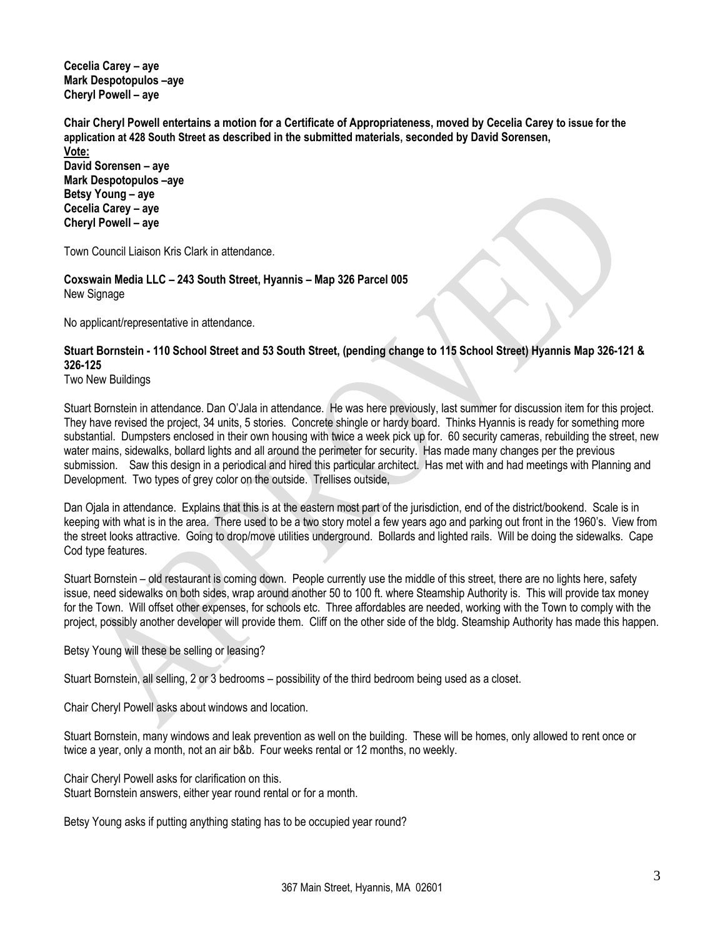**Cecelia Carey – aye Mark Despotopulos –aye Cheryl Powell – aye**

**Chair Cheryl Powell entertains a motion for a Certificate of Appropriateness, moved by Cecelia Carey to issue for the application at 428 South Street as described in the submitted materials, seconded by David Sorensen, Vote:**

**David Sorensen – aye Mark Despotopulos –aye Betsy Young – aye Cecelia Carey – aye Cheryl Powell – aye**

Town Council Liaison Kris Clark in attendance.

**Coxswain Media LLC – 243 South Street, Hyannis – Map 326 Parcel 005** New Signage

No applicant/representative in attendance.

# **Stuart Bornstein - 110 School Street and 53 South Street, (pending change to 115 School Street) Hyannis Map 326-121 & 326-125**

Two New Buildings

Stuart Bornstein in attendance. Dan O'Jala in attendance. He was here previously, last summer for discussion item for this project. They have revised the project, 34 units, 5 stories. Concrete shingle or hardy board. Thinks Hyannis is ready for something more substantial. Dumpsters enclosed in their own housing with twice a week pick up for. 60 security cameras, rebuilding the street, new water mains, sidewalks, bollard lights and all around the perimeter for security. Has made many changes per the previous submission. Saw this design in a periodical and hired this particular architect. Has met with and had meetings with Planning and Development. Two types of grey color on the outside. Trellises outside,

Dan Ojala in attendance. Explains that this is at the eastern most part of the jurisdiction, end of the district/bookend. Scale is in keeping with what is in the area. There used to be a two story motel a few years ago and parking out front in the 1960's. View from the street looks attractive. Going to drop/move utilities underground. Bollards and lighted rails. Will be doing the sidewalks. Cape Cod type features.

Stuart Bornstein – old restaurant is coming down. People currently use the middle of this street, there are no lights here, safety issue, need sidewalks on both sides, wrap around another 50 to 100 ft. where Steamship Authority is. This will provide tax money for the Town. Will offset other expenses, for schools etc. Three affordables are needed, working with the Town to comply with the project, possibly another developer will provide them. Cliff on the other side of the bldg. Steamship Authority has made this happen.

Betsy Young will these be selling or leasing?

Stuart Bornstein, all selling, 2 or 3 bedrooms – possibility of the third bedroom being used as a closet.

Chair Cheryl Powell asks about windows and location.

Stuart Bornstein, many windows and leak prevention as well on the building. These will be homes, only allowed to rent once or twice a year, only a month, not an air b&b. Four weeks rental or 12 months, no weekly.

Chair Cheryl Powell asks for clarification on this. Stuart Bornstein answers, either year round rental or for a month.

Betsy Young asks if putting anything stating has to be occupied year round?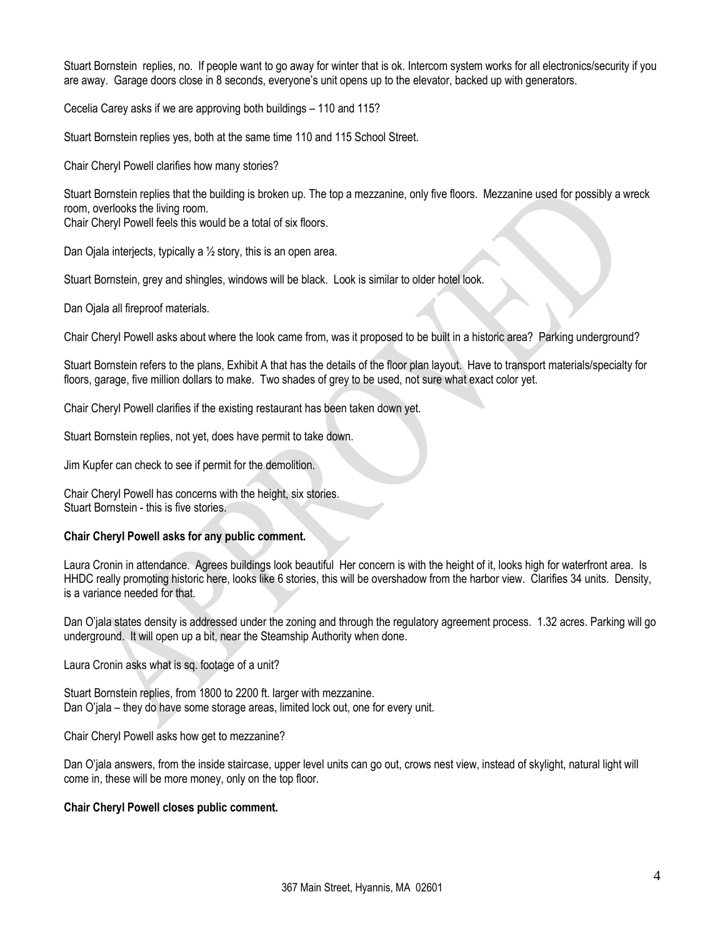Stuart Bornstein replies, no. If people want to go away for winter that is ok. Intercom system works for all electronics/security if you are away. Garage doors close in 8 seconds, everyone's unit opens up to the elevator, backed up with generators.

Cecelia Carey asks if we are approving both buildings – 110 and 115?

Stuart Bornstein replies yes, both at the same time 110 and 115 School Street.

Chair Cheryl Powell clarifies how many stories?

Stuart Bornstein replies that the building is broken up. The top a mezzanine, only five floors. Mezzanine used for possibly a wreck room, overlooks the living room.

Chair Cheryl Powell feels this would be a total of six floors.

Dan Ojala interjects, typically a ½ story, this is an open area.

Stuart Bornstein, grey and shingles, windows will be black. Look is similar to older hotel look.

Dan Ojala all fireproof materials.

Chair Cheryl Powell asks about where the look came from, was it proposed to be built in a historic area? Parking underground?

Stuart Bornstein refers to the plans, Exhibit A that has the details of the floor plan layout. Have to transport materials/specialty for floors, garage, five million dollars to make. Two shades of grey to be used, not sure what exact color yet.

Chair Cheryl Powell clarifies if the existing restaurant has been taken down yet.

Stuart Bornstein replies, not yet, does have permit to take down.

Jim Kupfer can check to see if permit for the demolition.

Chair Cheryl Powell has concerns with the height, six stories. Stuart Bornstein - this is five stories.

# **Chair Cheryl Powell asks for any public comment.**

Laura Cronin in attendance. Agrees buildings look beautiful Her concern is with the height of it, looks high for waterfront area. Is HHDC really promoting historic here, looks like 6 stories, this will be overshadow from the harbor view. Clarifies 34 units. Density, is a variance needed for that.

Dan O'jala states density is addressed under the zoning and through the regulatory agreement process. 1.32 acres. Parking will go underground. It will open up a bit, near the Steamship Authority when done.

Laura Cronin asks what is sq. footage of a unit?

Stuart Bornstein replies, from 1800 to 2200 ft. larger with mezzanine. Dan O'jala – they do have some storage areas, limited lock out, one for every unit.

Chair Cheryl Powell asks how get to mezzanine?

Dan O'jala answers, from the inside staircase, upper level units can go out, crows nest view, instead of skylight, natural light will come in, these will be more money, only on the top floor.

### **Chair Cheryl Powell closes public comment.**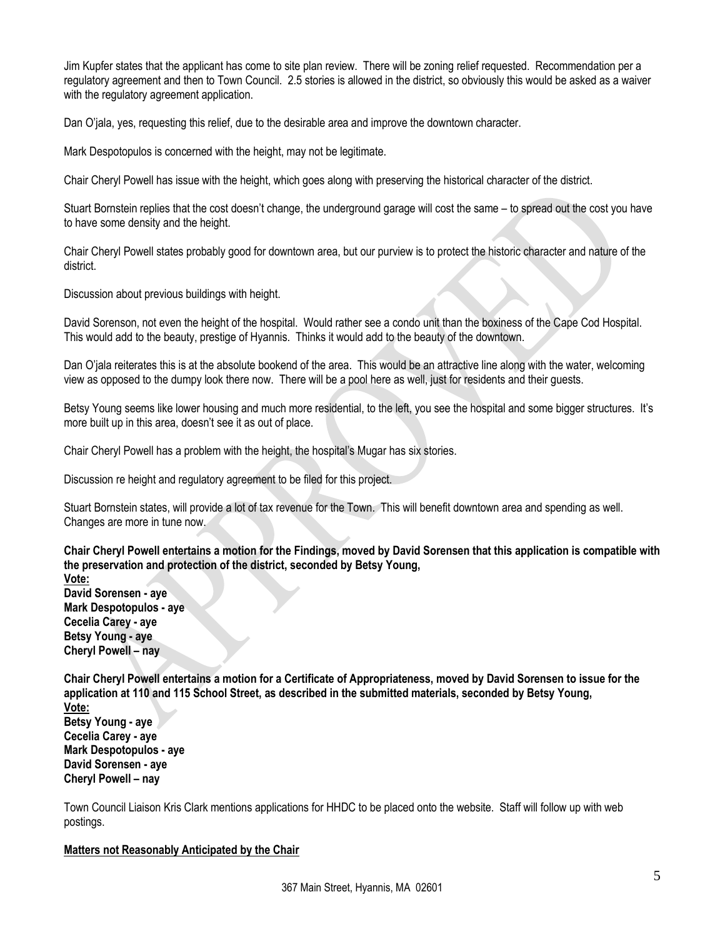Jim Kupfer states that the applicant has come to site plan review. There will be zoning relief requested. Recommendation per a regulatory agreement and then to Town Council. 2.5 stories is allowed in the district, so obviously this would be asked as a waiver with the regulatory agreement application.

Dan O'jala, yes, requesting this relief, due to the desirable area and improve the downtown character.

Mark Despotopulos is concerned with the height, may not be legitimate.

Chair Cheryl Powell has issue with the height, which goes along with preserving the historical character of the district.

Stuart Bornstein replies that the cost doesn't change, the underground garage will cost the same – to spread out the cost you have to have some density and the height.

Chair Cheryl Powell states probably good for downtown area, but our purview is to protect the historic character and nature of the district.

Discussion about previous buildings with height.

David Sorenson, not even the height of the hospital. Would rather see a condo unit than the boxiness of the Cape Cod Hospital. This would add to the beauty, prestige of Hyannis. Thinks it would add to the beauty of the downtown.

Dan O'jala reiterates this is at the absolute bookend of the area. This would be an attractive line along with the water, welcoming view as opposed to the dumpy look there now. There will be a pool here as well, just for residents and their guests.

Betsy Young seems like lower housing and much more residential, to the left, you see the hospital and some bigger structures. It's more built up in this area, doesn't see it as out of place.

Chair Cheryl Powell has a problem with the height, the hospital's Mugar has six stories.

Discussion re height and regulatory agreement to be filed for this project.

Stuart Bornstein states, will provide a lot of tax revenue for the Town. This will benefit downtown area and spending as well. Changes are more in tune now.

**Chair Cheryl Powell entertains a motion for the Findings, moved by David Sorensen that this application is compatible with the preservation and protection of the district, seconded by Betsy Young,**

**Vote: David Sorensen - aye Mark Despotopulos - aye Cecelia Carey - aye Betsy Young - aye Cheryl Powell – nay**

**Chair Cheryl Powell entertains a motion for a Certificate of Appropriateness, moved by David Sorensen to issue for the application at 110 and 115 School Street, as described in the submitted materials, seconded by Betsy Young,**

**Vote: Betsy Young - aye Cecelia Carey - aye Mark Despotopulos - aye David Sorensen - aye Cheryl Powell – nay**

Town Council Liaison Kris Clark mentions applications for HHDC to be placed onto the website. Staff will follow up with web postings.

### **Matters not Reasonably Anticipated by the Chair**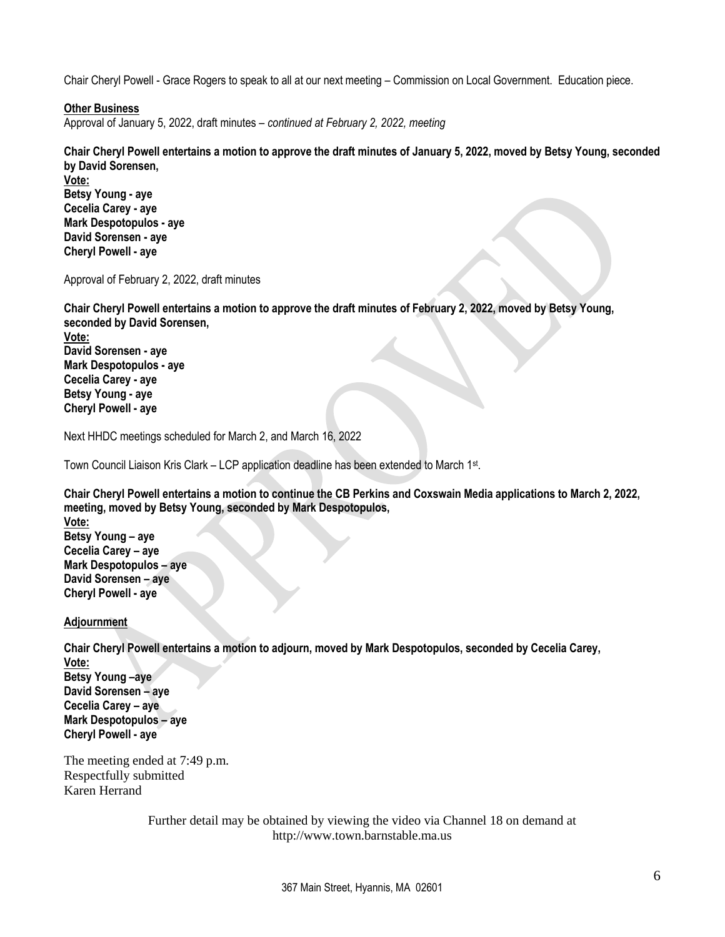Chair Cheryl Powell - Grace Rogers to speak to all at our next meeting – Commission on Local Government. Education piece.

## **Other Business**

Approval of January 5, 2022, draft minutes – *continued at February 2, 2022, meeting*

**Chair Cheryl Powell entertains a motion to approve the draft minutes of January 5, 2022, moved by Betsy Young, seconded by David Sorensen,**

**Vote: Betsy Young - aye Cecelia Carey - aye Mark Despotopulos - aye David Sorensen - aye Cheryl Powell - aye** 

Approval of February 2, 2022, draft minutes

**Chair Cheryl Powell entertains a motion to approve the draft minutes of February 2, 2022, moved by Betsy Young, seconded by David Sorensen,**

**Vote: David Sorensen - aye Mark Despotopulos - aye Cecelia Carey - aye Betsy Young - aye Cheryl Powell - aye**

Next HHDC meetings scheduled for March 2, and March 16, 2022

Town Council Liaison Kris Clark – LCP application deadline has been extended to March 1st .

**Chair Cheryl Powell entertains a motion to continue the CB Perkins and Coxswain Media applications to March 2, 2022, meeting, moved by Betsy Young, seconded by Mark Despotopulos,** 

**Vote: Betsy Young – aye Cecelia Carey – aye Mark Despotopulos – aye David Sorensen – aye Cheryl Powell - aye**

### **Adjournment**

**Chair Cheryl Powell entertains a motion to adjourn, moved by Mark Despotopulos, seconded by Cecelia Carey, Vote:**

**Betsy Young –aye David Sorensen – aye Cecelia Carey – aye Mark Despotopulos – aye Cheryl Powell - aye**

The meeting ended at 7:49 p.m. Respectfully submitted Karen Herrand

> Further detail may be obtained by viewing the video via Channel 18 on demand at http://www.town.barnstable.ma.us